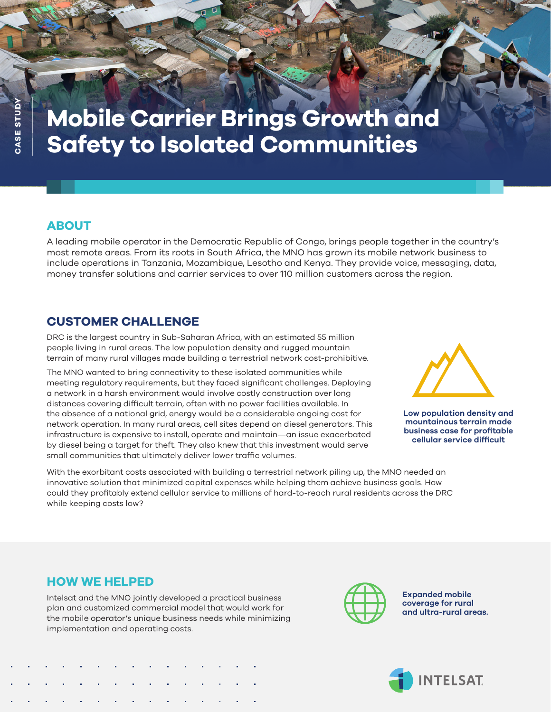# **Mobile Carrier Brings Growth and Safety to Isolated Communities**

## **ABOUT**

A leading mobile operator in the Democratic Republic of Congo, brings people together in the country's most remote areas. From its roots in South Africa, the MNO has grown its mobile network business to include operations in Tanzania, Mozambique, Lesotho and Kenya. They provide voice, messaging, data, money transfer solutions and carrier services to over 110 million customers across the region.

#### **CUSTOMER CHALLENGE**

DRC is the largest country in Sub-Saharan Africa, with an estimated 55 million people living in rural areas. The low population density and rugged mountain terrain of many rural villages made building a terrestrial network cost-prohibitive.

The MNO wanted to bring connectivity to these isolated communities while meeting regulatory requirements, but they faced significant challenges. Deploying a network in a harsh environment would involve costly construction over long distances covering difficult terrain, often with no power facilities available. In the absence of a national grid, energy would be a considerable ongoing cost for network operation. In many rural areas, cell sites depend on diesel generators. This infrastructure is expensive to install, operate and maintain—an issue exacerbated by diesel being a target for theft. They also knew that this investment would serve small communities that ultimately deliver lower traffic volumes.



**Low population density and mountainous terrain made business case for profitable cellular service difficult**

With the exorbitant costs associated with building a terrestrial network piling up, the MNO needed an innovative solution that minimized capital expenses while helping them achieve business goals. How could they profitably extend cellular service to millions of hard-to-reach rural residents across the DRC while keeping costs low?

## **HOW WE HELPED**

Intelsat and the MNO jointly developed a practical business plan and customized commercial model that would work for the mobile operator's unique business needs while minimizing implementation and operating costs.



**Expanded mobile coverage for rural and ultra-rural areas.**